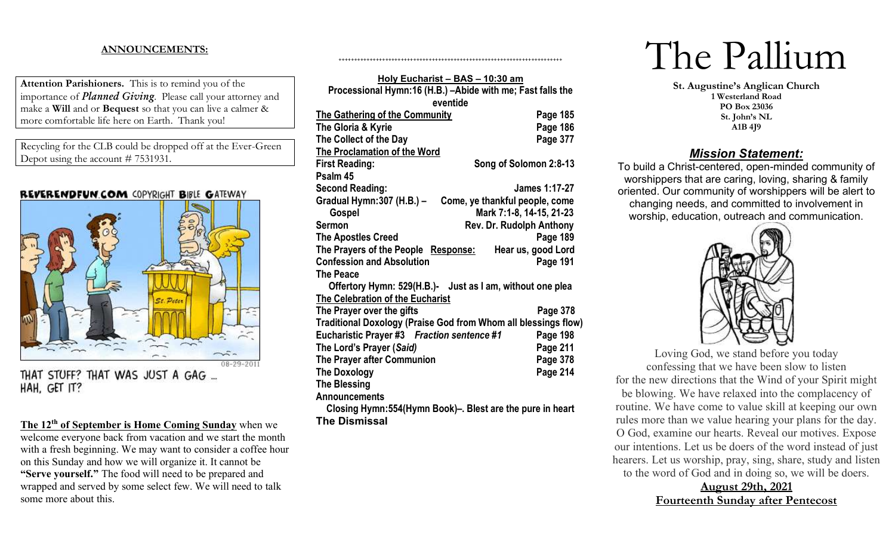# **ANNOUNCEMENTS:**

**Attention Parishioners.** This is to remind you of the importance of *Planned Giving*. Please call your attorney and make a **Will** and or **Bequest** so that you can live a calmer & more comfortable life here on Earth. Thank you!

Recycling for the CLB could be dropped off at the Ever-Green Depot using the account # 7531931.

## REVERENDFUN.COM COPYRIGHT BIBLE GATEWAY



THAT STUFF? THAT WAS JUST A GAG ... HAH, GET IT?

**The 12th of September is Home Coming Sunday** when we welcome everyone back from vacation and we start the month with a fresh beginning. We may want to consider a coffee hour on this Sunday and how we will organize it. It cannot be **"Serve yourself."** The food will need to be prepared and wrapped and served by some select few. We will need to talk some more about this.

| Holy Eucharist - BAS - 10:30 am                                |                                |  |  |  |
|----------------------------------------------------------------|--------------------------------|--|--|--|
| Processional Hymn:16 (H.B.) - Abide with me; Fast falls the    |                                |  |  |  |
| eventide                                                       |                                |  |  |  |
| <b>The Gathering of the Community</b>                          | Page 185                       |  |  |  |
| The Gloria & Kyrie                                             | Page 186                       |  |  |  |
| The Collect of the Day                                         | Page 377                       |  |  |  |
| <b>The Proclamation of the Word</b>                            |                                |  |  |  |
| <b>First Reading:</b>                                          | Song of Solomon 2:8-13         |  |  |  |
| Psalm 45                                                       |                                |  |  |  |
| <b>Second Reading:</b>                                         | James 1:17-27                  |  |  |  |
| Gradual Hymn:307 (H.B.) -                                      | Come, ye thankful people, come |  |  |  |
| Gospel                                                         | Mark 7:1-8, 14-15, 21-23       |  |  |  |
| <b>Sermon</b>                                                  | Rev. Dr. Rudolph Anthony       |  |  |  |
| <b>The Apostles Creed</b>                                      | Page 189                       |  |  |  |
| The Prayers of the People Response:                            | Hear us, good Lord             |  |  |  |
| <b>Confession and Absolution</b>                               | Page 191                       |  |  |  |
| <b>The Peace</b>                                               |                                |  |  |  |
| Offertory Hymn: 529(H.B.)- Just as I am, without one plea      |                                |  |  |  |
| <b>The Celebration of the Eucharist</b>                        |                                |  |  |  |
| The Prayer over the gifts                                      | Page 378                       |  |  |  |
| Traditional Doxology (Praise God from Whom all blessings flow) |                                |  |  |  |
| Eucharistic Prayer #3 Fraction sentence #1                     | Page 198                       |  |  |  |
| The Lord's Prayer (Said)                                       | Page 211                       |  |  |  |
| The Prayer after Communion                                     | Page 378                       |  |  |  |
| <b>The Doxology</b>                                            | Page 214                       |  |  |  |
| <b>The Blessing</b>                                            |                                |  |  |  |
| <b>Announcements</b>                                           |                                |  |  |  |
| Closing Hymn:554(Hymn Book)-. Blest are the pure in heart      |                                |  |  |  |
| <b>The Dismissal</b>                                           |                                |  |  |  |

The Pallium

**St. Augustine's Anglican Church 1 Westerland Road PO Box 23036 St. John's NL A1B 4J9**

## *Mission Statement:*

To build a Christ-centered, open-minded community of worshippers that are caring, loving, sharing & family oriented. Our community of worshippers will be alert to changing needs, and committed to involvement in worship, education, outreach and communication.



Loving God, we stand before you today confessing that we have been slow to listen for the new directions that the Wind of your Spirit might be blowing. We have relaxed into the complacency of routine. We have come to value skill at keeping our own rules more than we value hearing your plans for the day. O God, examine our hearts. Reveal our motives. Expose our intentions. Let us be doers of the word instead of just hearers. Let us worship, pray, sing, share, study and listen to the word of God and in doing so, we will be doers.

> **August 29th, 2021 Fourteenth Sunday after Pentecost**

++++++++++++++++++++++++++++++++++++++++++++++++++++++++++++++++++++++++